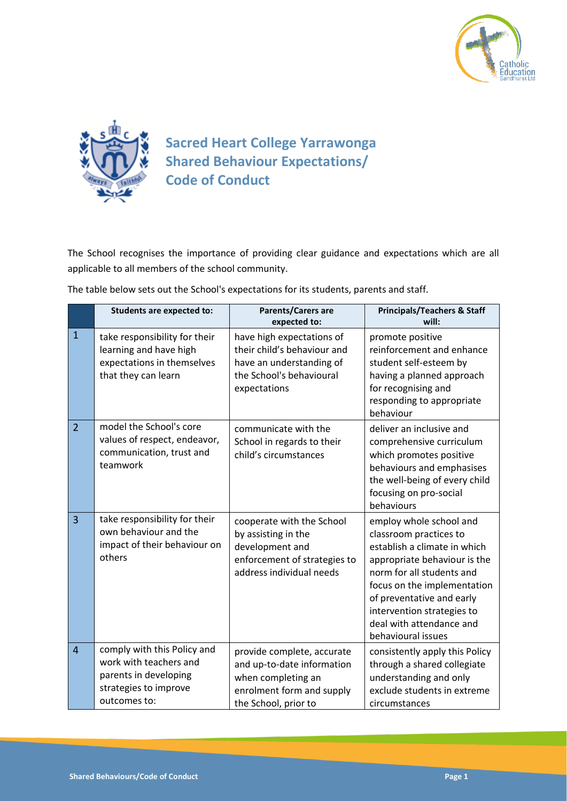



## **Sacred Heart College Yarrawonga Shared Behaviour Expectations/ Code of Conduct**

The School recognises the importance of providing clear guidance and expectations which are all applicable to all members of the school community.

| The table below sets out the School's expectations for its students, parents and staff. |  |
|-----------------------------------------------------------------------------------------|--|
|-----------------------------------------------------------------------------------------|--|

|                | <b>Students are expected to:</b>                                                                                        | Parents/Carers are<br>expected to:                                                                                                  | <b>Principals/Teachers &amp; Staff</b><br>will:                                                                                                                                                                                                                                            |
|----------------|-------------------------------------------------------------------------------------------------------------------------|-------------------------------------------------------------------------------------------------------------------------------------|--------------------------------------------------------------------------------------------------------------------------------------------------------------------------------------------------------------------------------------------------------------------------------------------|
| $\mathbf{1}$   | take responsibility for their<br>learning and have high<br>expectations in themselves<br>that they can learn            | have high expectations of<br>their child's behaviour and<br>have an understanding of<br>the School's behavioural<br>expectations    | promote positive<br>reinforcement and enhance<br>student self-esteem by<br>having a planned approach<br>for recognising and<br>responding to appropriate<br>behaviour                                                                                                                      |
| $\overline{2}$ | model the School's core<br>values of respect, endeavor,<br>communication, trust and<br>teamwork                         | communicate with the<br>School in regards to their<br>child's circumstances                                                         | deliver an inclusive and<br>comprehensive curriculum<br>which promotes positive<br>behaviours and emphasises<br>the well-being of every child<br>focusing on pro-social<br>behaviours                                                                                                      |
| $\overline{3}$ | take responsibility for their<br>own behaviour and the<br>impact of their behaviour on<br>others                        | cooperate with the School<br>by assisting in the<br>development and<br>enforcement of strategies to<br>address individual needs     | employ whole school and<br>classroom practices to<br>establish a climate in which<br>appropriate behaviour is the<br>norm for all students and<br>focus on the implementation<br>of preventative and early<br>intervention strategies to<br>deal with attendance and<br>behavioural issues |
| $\overline{4}$ | comply with this Policy and<br>work with teachers and<br>parents in developing<br>strategies to improve<br>outcomes to: | provide complete, accurate<br>and up-to-date information<br>when completing an<br>enrolment form and supply<br>the School, prior to | consistently apply this Policy<br>through a shared collegiate<br>understanding and only<br>exclude students in extreme<br>circumstances                                                                                                                                                    |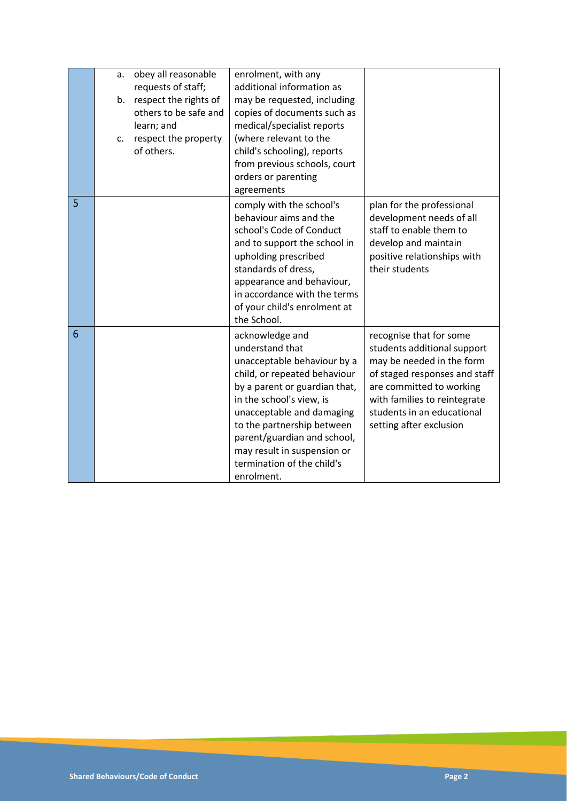|   | a. | obey all reasonable<br>requests of staff;      | enrolment, with any<br>additional information as                                                                                                                                                                                                                                                                                    |                                                                                                                                                                                                                                           |
|---|----|------------------------------------------------|-------------------------------------------------------------------------------------------------------------------------------------------------------------------------------------------------------------------------------------------------------------------------------------------------------------------------------------|-------------------------------------------------------------------------------------------------------------------------------------------------------------------------------------------------------------------------------------------|
|   | b. | respect the rights of<br>others to be safe and | may be requested, including                                                                                                                                                                                                                                                                                                         |                                                                                                                                                                                                                                           |
|   |    | learn; and                                     | copies of documents such as<br>medical/specialist reports                                                                                                                                                                                                                                                                           |                                                                                                                                                                                                                                           |
|   | c. | respect the property                           | (where relevant to the                                                                                                                                                                                                                                                                                                              |                                                                                                                                                                                                                                           |
|   |    | of others.                                     | child's schooling), reports                                                                                                                                                                                                                                                                                                         |                                                                                                                                                                                                                                           |
|   |    |                                                | from previous schools, court                                                                                                                                                                                                                                                                                                        |                                                                                                                                                                                                                                           |
|   |    |                                                | orders or parenting<br>agreements                                                                                                                                                                                                                                                                                                   |                                                                                                                                                                                                                                           |
| 5 |    |                                                | comply with the school's<br>behaviour aims and the<br>school's Code of Conduct<br>and to support the school in<br>upholding prescribed<br>standards of dress,<br>appearance and behaviour,<br>in accordance with the terms<br>of your child's enrolment at<br>the School.                                                           | plan for the professional<br>development needs of all<br>staff to enable them to<br>develop and maintain<br>positive relationships with<br>their students                                                                                 |
| 6 |    |                                                | acknowledge and<br>understand that<br>unacceptable behaviour by a<br>child, or repeated behaviour<br>by a parent or guardian that,<br>in the school's view, is<br>unacceptable and damaging<br>to the partnership between<br>parent/guardian and school,<br>may result in suspension or<br>termination of the child's<br>enrolment. | recognise that for some<br>students additional support<br>may be needed in the form<br>of staged responses and staff<br>are committed to working<br>with families to reintegrate<br>students in an educational<br>setting after exclusion |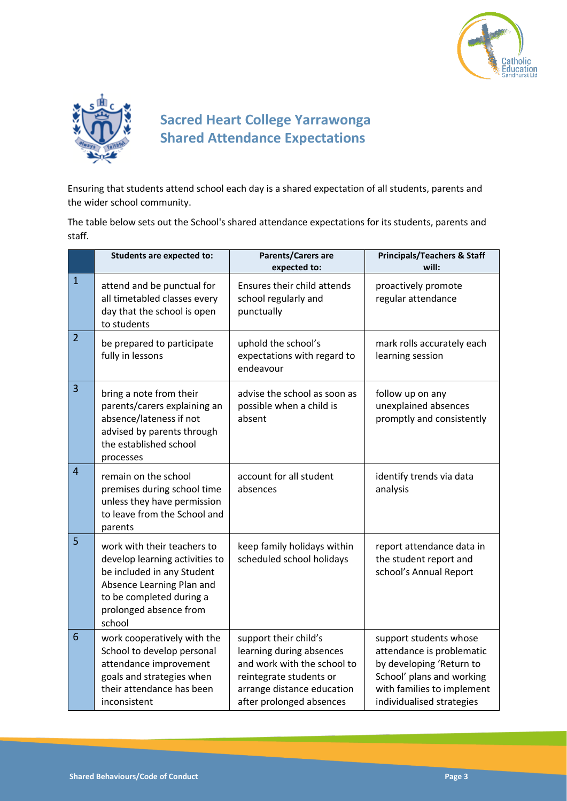



## **Sacred Heart College Yarrawonga Shared Attendance Expectations**

Ensuring that students attend school each day is a shared expectation of all students, parents and the wider school community.

The table below sets out the School's shared attendance expectations for its students, parents and staff.

|                | <b>Students are expected to:</b>                                                                                                                                                         | Parents/Carers are<br>expected to:                                                                                                                                    | <b>Principals/Teachers &amp; Staff</b><br>will:                                                                                                                         |
|----------------|------------------------------------------------------------------------------------------------------------------------------------------------------------------------------------------|-----------------------------------------------------------------------------------------------------------------------------------------------------------------------|-------------------------------------------------------------------------------------------------------------------------------------------------------------------------|
| $\mathbf{1}$   | attend and be punctual for<br>all timetabled classes every<br>day that the school is open<br>to students                                                                                 | Ensures their child attends<br>school regularly and<br>punctually                                                                                                     | proactively promote<br>regular attendance                                                                                                                               |
| $\overline{2}$ | be prepared to participate<br>fully in lessons                                                                                                                                           | uphold the school's<br>expectations with regard to<br>endeavour                                                                                                       | mark rolls accurately each<br>learning session                                                                                                                          |
| 3              | bring a note from their<br>parents/carers explaining an<br>absence/lateness if not<br>advised by parents through<br>the established school<br>processes                                  | advise the school as soon as<br>possible when a child is<br>absent                                                                                                    | follow up on any<br>unexplained absences<br>promptly and consistently                                                                                                   |
| $\overline{4}$ | remain on the school<br>premises during school time<br>unless they have permission<br>to leave from the School and<br>parents                                                            | account for all student<br>absences                                                                                                                                   | identify trends via data<br>analysis                                                                                                                                    |
| 5              | work with their teachers to<br>develop learning activities to<br>be included in any Student<br>Absence Learning Plan and<br>to be completed during a<br>prolonged absence from<br>school | keep family holidays within<br>scheduled school holidays                                                                                                              | report attendance data in<br>the student report and<br>school's Annual Report                                                                                           |
| 6              | work cooperatively with the<br>School to develop personal<br>attendance improvement<br>goals and strategies when<br>their attendance has been<br>inconsistent                            | support their child's<br>learning during absences<br>and work with the school to<br>reintegrate students or<br>arrange distance education<br>after prolonged absences | support students whose<br>attendance is problematic<br>by developing 'Return to<br>School' plans and working<br>with families to implement<br>individualised strategies |